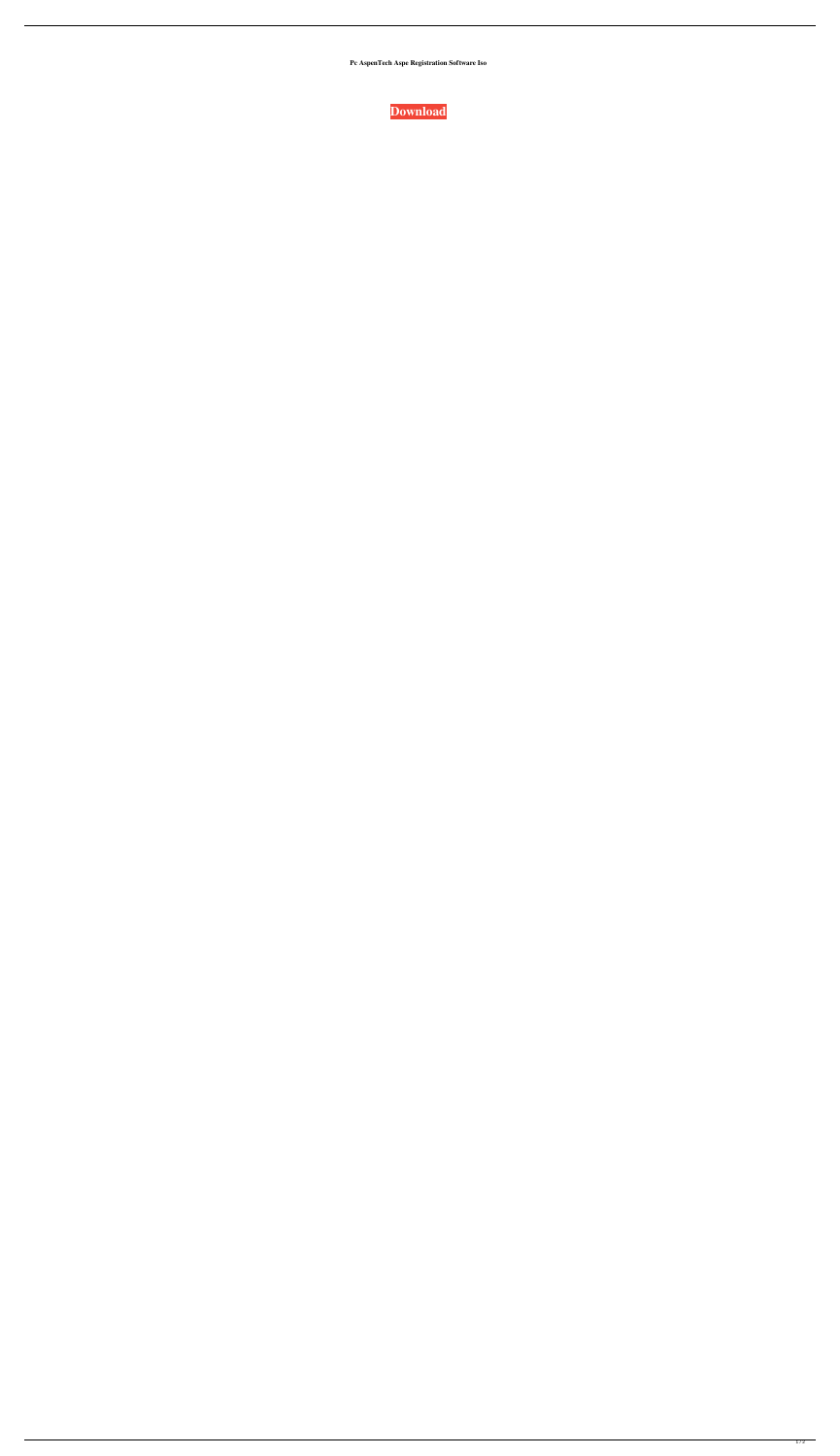**Pc AspenTech Aspe Registration Software Iso**